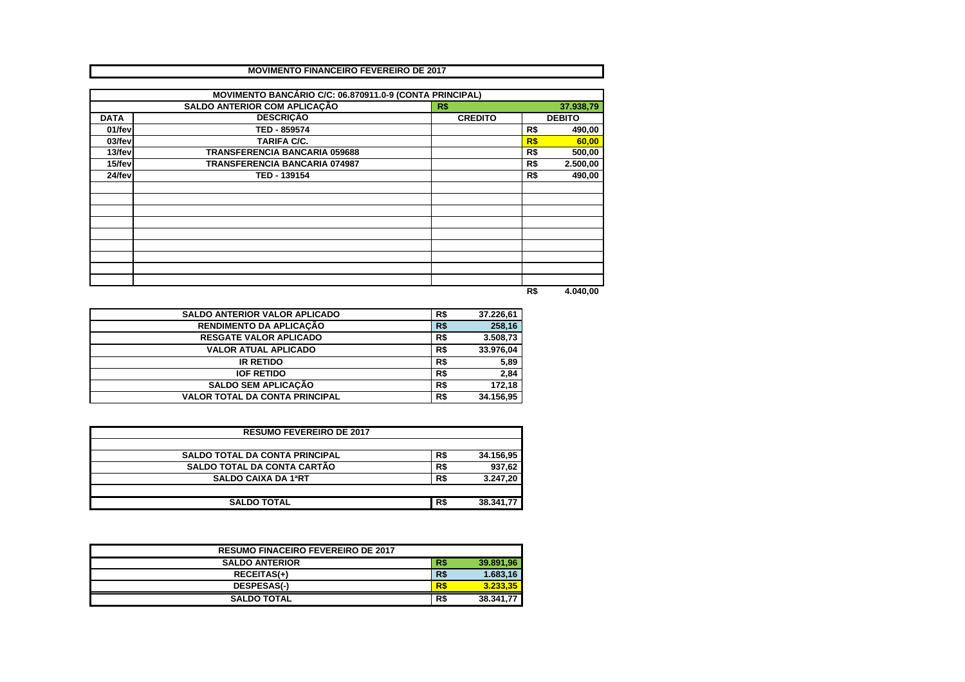|             | <b>MOVIMENTO FINANCEIRO FEVEREIRO DE 2017</b>           |                |      |               |
|-------------|---------------------------------------------------------|----------------|------|---------------|
|             |                                                         |                |      |               |
|             | MOVIMENTO BANCÁRIO C/C: 06.870911.0-9 (CONTA PRINCIPAL) |                |      |               |
|             | SALDO ANTERIOR COM APLICAÇÃO                            | R\$            |      | 37.938,79     |
| <b>DATA</b> | <b>DESCRIÇÃO</b>                                        | <b>CREDITO</b> |      | <b>DEBITO</b> |
| 01/fev      | TED - 859574                                            |                | R\$  | 490,00        |
| 03/fev      | <b>TARIFA C/C.</b>                                      |                | R\$  | 60,00         |
| 13/fev      | <b>TRANSFERENCIA BANCARIA 059688</b>                    |                | R\$  | 500,00        |
| 15/fev      | TRANSFERENCIA BANCARIA 074987                           |                | R\$  | 2.500,00      |
| 24/fev      | TED - 139154                                            |                | R\$  | 490,00        |
|             |                                                         |                |      |               |
|             |                                                         |                |      |               |
|             |                                                         |                |      |               |
|             |                                                         |                |      |               |
|             |                                                         |                |      |               |
|             |                                                         |                |      |               |
|             |                                                         |                |      |               |
|             |                                                         |                |      |               |
|             |                                                         |                |      |               |
|             |                                                         |                | m e- | 1.010.00      |

**R\$ 4.040,00**

| <b>SALDO ANTERIOR VALOR APLICADO</b>  | R\$ | 37.226,61 |
|---------------------------------------|-----|-----------|
| RENDIMENTO DA APLICAÇÃO               | R\$ | 258,16    |
| <b>RESGATE VALOR APLICADO</b>         | R\$ | 3.508,73  |
| <b>VALOR ATUAL APLICADO</b>           | R\$ | 33.976,04 |
| <b>IR RETIDO</b>                      | R\$ | 5,89      |
| <b>IOF RETIDO</b>                     | R\$ | 2,84      |
| <b>SALDO SEM APLICAÇÃO</b>            | R\$ | 172,18    |
| <b>VALOR TOTAL DA CONTA PRINCIPAL</b> | R\$ | 34.156,95 |

| <b>RESUMO FEVEREIRO DE 2017</b>       |     |           |  |  |  |  |  |
|---------------------------------------|-----|-----------|--|--|--|--|--|
| <b>SALDO TOTAL DA CONTA PRINCIPAL</b> | R\$ | 34.156,95 |  |  |  |  |  |
| SALDO TOTAL DA CONTA CARTÃO           | R\$ | 937,62    |  |  |  |  |  |
| <b>SALDO CAIXA DA 1ªRT</b>            | R\$ | 3.247,20  |  |  |  |  |  |
|                                       |     |           |  |  |  |  |  |
| <b>SALDO TOTAL</b>                    | R\$ | 38.341.77 |  |  |  |  |  |

| <b>RESUMO FINACEIRO FEVEREIRO DE 2017</b> |     |           |
|-------------------------------------------|-----|-----------|
| <b>SALDO ANTERIOR</b>                     | R\$ | 39.891.96 |
| <b>RECEITAS(+)</b>                        | R\$ | 1.683.16  |
| <b>DESPESAS(-)</b>                        | R\$ | 3.233.35  |
| <b>SALDO TOTAL</b>                        | R\$ | 38.341.77 |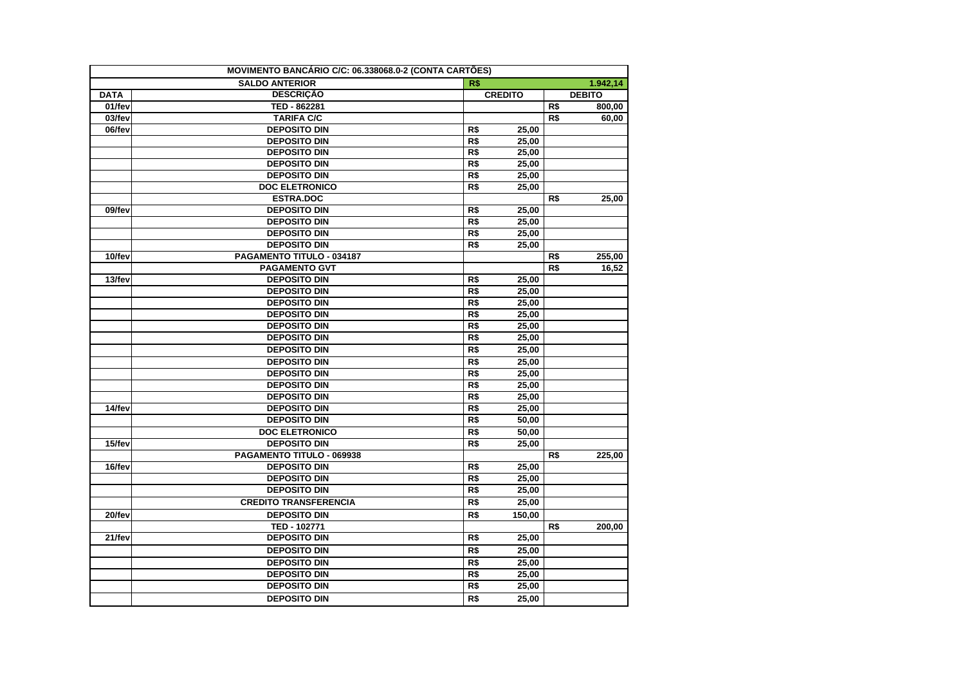| <b>SALDO ANTERIOR</b><br>R\$<br>1.942,14<br><b>DESCRIÇÃO</b><br><b>CREDITO</b><br><b>DATA</b><br><b>DEBITO</b><br>01/fev<br>TED - 862281<br>R\$<br>800,00<br>03/fev<br><b>TARIFA C/C</b><br>R\$<br>60,00<br>06/fev<br><b>DEPOSITO DIN</b><br>R\$<br>25,00<br><b>DEPOSITO DIN</b><br>R\$<br>25,00<br><b>DEPOSITO DIN</b><br>R\$<br>25,00<br>R\$<br><b>DEPOSITO DIN</b><br>25,00<br><b>DEPOSITO DIN</b><br>R\$<br>25,00<br><b>DOC ELETRONICO</b><br>R\$<br>25,00<br><b>ESTRA.DOC</b><br>R\$<br>25,00<br><b>DEPOSITO DIN</b><br>R\$<br>25,00<br>09/fev<br>R\$<br><b>DEPOSITO DIN</b><br>25,00<br><b>DEPOSITO DIN</b><br>R\$<br>25.00<br><b>DEPOSITO DIN</b><br>R\$<br>25,00<br>10/fev<br>PAGAMENTO TITULO - 034187<br>255,00<br>R\$<br>R\$<br><b>PAGAMENTO GVT</b><br>16,52<br><b>DEPOSITO DIN</b><br>13/fev<br>R\$<br>25,00<br>$\overline{R\$}$<br><b>DEPOSITO DIN</b><br>25,00<br><b>DEPOSITO DIN</b><br>R\$<br>25,00<br>R\$<br><b>DEPOSITO DIN</b><br>25,00<br><b>DEPOSITO DIN</b><br>R\$<br>25,00<br>$\overline{RS}$<br><b>DEPOSITO DIN</b><br>25,00<br><b>DEPOSITO DIN</b><br>R\$<br>25,00<br>$\overline{R$}$<br><b>DEPOSITO DIN</b><br>25,00<br>R\$<br><b>DEPOSITO DIN</b><br>25,00<br><b>DEPOSITO DIN</b><br>R\$<br>25,00<br>R\$<br><b>DEPOSITO DIN</b><br>25,00<br>R\$<br>14/fev<br><b>DEPOSITO DIN</b><br>25.00<br><b>DEPOSITO DIN</b><br>R\$<br>50,00<br>R\$<br><b>DOC ELETRONICO</b><br>50.00<br>15/fev<br><b>DEPOSITO DIN</b><br>R\$<br>25,00<br>PAGAMENTO TITULO - 069938<br>R\$<br>225,00<br>16/fev<br><b>DEPOSITO DIN</b><br>R\$<br>25,00<br><b>DEPOSITO DIN</b><br>R\$<br>25,00<br><b>DEPOSITO DIN</b><br>R\$<br>25,00<br>R\$<br><b>CREDITO TRANSFERENCIA</b><br>25,00<br><b>DEPOSITO DIN</b><br>R\$<br>20/fev<br>150,00<br>TED - 102771<br>200,00<br>R\$<br>21/fev<br><b>DEPOSITO DIN</b><br>R\$<br>25,00<br><b>DEPOSITO DIN</b><br>R\$<br>25,00<br><b>DEPOSITO DIN</b><br>R\$<br>25,00<br>R\$<br><b>DEPOSITO DIN</b><br>25,00<br><b>DEPOSITO DIN</b><br>R\$<br>25,00 | MOVIMENTO BANCÁRIO C/C: 06.338068.0-2 (CONTA CARTÕES) |     |       |  |
|-------------------------------------------------------------------------------------------------------------------------------------------------------------------------------------------------------------------------------------------------------------------------------------------------------------------------------------------------------------------------------------------------------------------------------------------------------------------------------------------------------------------------------------------------------------------------------------------------------------------------------------------------------------------------------------------------------------------------------------------------------------------------------------------------------------------------------------------------------------------------------------------------------------------------------------------------------------------------------------------------------------------------------------------------------------------------------------------------------------------------------------------------------------------------------------------------------------------------------------------------------------------------------------------------------------------------------------------------------------------------------------------------------------------------------------------------------------------------------------------------------------------------------------------------------------------------------------------------------------------------------------------------------------------------------------------------------------------------------------------------------------------------------------------------------------------------------------------------------------------------------------------------------------------------------------------------------------------------------------|-------------------------------------------------------|-----|-------|--|
|                                                                                                                                                                                                                                                                                                                                                                                                                                                                                                                                                                                                                                                                                                                                                                                                                                                                                                                                                                                                                                                                                                                                                                                                                                                                                                                                                                                                                                                                                                                                                                                                                                                                                                                                                                                                                                                                                                                                                                                     |                                                       |     |       |  |
|                                                                                                                                                                                                                                                                                                                                                                                                                                                                                                                                                                                                                                                                                                                                                                                                                                                                                                                                                                                                                                                                                                                                                                                                                                                                                                                                                                                                                                                                                                                                                                                                                                                                                                                                                                                                                                                                                                                                                                                     |                                                       |     |       |  |
|                                                                                                                                                                                                                                                                                                                                                                                                                                                                                                                                                                                                                                                                                                                                                                                                                                                                                                                                                                                                                                                                                                                                                                                                                                                                                                                                                                                                                                                                                                                                                                                                                                                                                                                                                                                                                                                                                                                                                                                     |                                                       |     |       |  |
|                                                                                                                                                                                                                                                                                                                                                                                                                                                                                                                                                                                                                                                                                                                                                                                                                                                                                                                                                                                                                                                                                                                                                                                                                                                                                                                                                                                                                                                                                                                                                                                                                                                                                                                                                                                                                                                                                                                                                                                     |                                                       |     |       |  |
|                                                                                                                                                                                                                                                                                                                                                                                                                                                                                                                                                                                                                                                                                                                                                                                                                                                                                                                                                                                                                                                                                                                                                                                                                                                                                                                                                                                                                                                                                                                                                                                                                                                                                                                                                                                                                                                                                                                                                                                     |                                                       |     |       |  |
|                                                                                                                                                                                                                                                                                                                                                                                                                                                                                                                                                                                                                                                                                                                                                                                                                                                                                                                                                                                                                                                                                                                                                                                                                                                                                                                                                                                                                                                                                                                                                                                                                                                                                                                                                                                                                                                                                                                                                                                     |                                                       |     |       |  |
|                                                                                                                                                                                                                                                                                                                                                                                                                                                                                                                                                                                                                                                                                                                                                                                                                                                                                                                                                                                                                                                                                                                                                                                                                                                                                                                                                                                                                                                                                                                                                                                                                                                                                                                                                                                                                                                                                                                                                                                     |                                                       |     |       |  |
|                                                                                                                                                                                                                                                                                                                                                                                                                                                                                                                                                                                                                                                                                                                                                                                                                                                                                                                                                                                                                                                                                                                                                                                                                                                                                                                                                                                                                                                                                                                                                                                                                                                                                                                                                                                                                                                                                                                                                                                     |                                                       |     |       |  |
|                                                                                                                                                                                                                                                                                                                                                                                                                                                                                                                                                                                                                                                                                                                                                                                                                                                                                                                                                                                                                                                                                                                                                                                                                                                                                                                                                                                                                                                                                                                                                                                                                                                                                                                                                                                                                                                                                                                                                                                     |                                                       |     |       |  |
|                                                                                                                                                                                                                                                                                                                                                                                                                                                                                                                                                                                                                                                                                                                                                                                                                                                                                                                                                                                                                                                                                                                                                                                                                                                                                                                                                                                                                                                                                                                                                                                                                                                                                                                                                                                                                                                                                                                                                                                     |                                                       |     |       |  |
|                                                                                                                                                                                                                                                                                                                                                                                                                                                                                                                                                                                                                                                                                                                                                                                                                                                                                                                                                                                                                                                                                                                                                                                                                                                                                                                                                                                                                                                                                                                                                                                                                                                                                                                                                                                                                                                                                                                                                                                     |                                                       |     |       |  |
|                                                                                                                                                                                                                                                                                                                                                                                                                                                                                                                                                                                                                                                                                                                                                                                                                                                                                                                                                                                                                                                                                                                                                                                                                                                                                                                                                                                                                                                                                                                                                                                                                                                                                                                                                                                                                                                                                                                                                                                     |                                                       |     |       |  |
|                                                                                                                                                                                                                                                                                                                                                                                                                                                                                                                                                                                                                                                                                                                                                                                                                                                                                                                                                                                                                                                                                                                                                                                                                                                                                                                                                                                                                                                                                                                                                                                                                                                                                                                                                                                                                                                                                                                                                                                     |                                                       |     |       |  |
|                                                                                                                                                                                                                                                                                                                                                                                                                                                                                                                                                                                                                                                                                                                                                                                                                                                                                                                                                                                                                                                                                                                                                                                                                                                                                                                                                                                                                                                                                                                                                                                                                                                                                                                                                                                                                                                                                                                                                                                     |                                                       |     |       |  |
|                                                                                                                                                                                                                                                                                                                                                                                                                                                                                                                                                                                                                                                                                                                                                                                                                                                                                                                                                                                                                                                                                                                                                                                                                                                                                                                                                                                                                                                                                                                                                                                                                                                                                                                                                                                                                                                                                                                                                                                     |                                                       |     |       |  |
|                                                                                                                                                                                                                                                                                                                                                                                                                                                                                                                                                                                                                                                                                                                                                                                                                                                                                                                                                                                                                                                                                                                                                                                                                                                                                                                                                                                                                                                                                                                                                                                                                                                                                                                                                                                                                                                                                                                                                                                     |                                                       |     |       |  |
|                                                                                                                                                                                                                                                                                                                                                                                                                                                                                                                                                                                                                                                                                                                                                                                                                                                                                                                                                                                                                                                                                                                                                                                                                                                                                                                                                                                                                                                                                                                                                                                                                                                                                                                                                                                                                                                                                                                                                                                     |                                                       |     |       |  |
|                                                                                                                                                                                                                                                                                                                                                                                                                                                                                                                                                                                                                                                                                                                                                                                                                                                                                                                                                                                                                                                                                                                                                                                                                                                                                                                                                                                                                                                                                                                                                                                                                                                                                                                                                                                                                                                                                                                                                                                     |                                                       |     |       |  |
|                                                                                                                                                                                                                                                                                                                                                                                                                                                                                                                                                                                                                                                                                                                                                                                                                                                                                                                                                                                                                                                                                                                                                                                                                                                                                                                                                                                                                                                                                                                                                                                                                                                                                                                                                                                                                                                                                                                                                                                     |                                                       |     |       |  |
|                                                                                                                                                                                                                                                                                                                                                                                                                                                                                                                                                                                                                                                                                                                                                                                                                                                                                                                                                                                                                                                                                                                                                                                                                                                                                                                                                                                                                                                                                                                                                                                                                                                                                                                                                                                                                                                                                                                                                                                     |                                                       |     |       |  |
|                                                                                                                                                                                                                                                                                                                                                                                                                                                                                                                                                                                                                                                                                                                                                                                                                                                                                                                                                                                                                                                                                                                                                                                                                                                                                                                                                                                                                                                                                                                                                                                                                                                                                                                                                                                                                                                                                                                                                                                     |                                                       |     |       |  |
|                                                                                                                                                                                                                                                                                                                                                                                                                                                                                                                                                                                                                                                                                                                                                                                                                                                                                                                                                                                                                                                                                                                                                                                                                                                                                                                                                                                                                                                                                                                                                                                                                                                                                                                                                                                                                                                                                                                                                                                     |                                                       |     |       |  |
|                                                                                                                                                                                                                                                                                                                                                                                                                                                                                                                                                                                                                                                                                                                                                                                                                                                                                                                                                                                                                                                                                                                                                                                                                                                                                                                                                                                                                                                                                                                                                                                                                                                                                                                                                                                                                                                                                                                                                                                     |                                                       |     |       |  |
|                                                                                                                                                                                                                                                                                                                                                                                                                                                                                                                                                                                                                                                                                                                                                                                                                                                                                                                                                                                                                                                                                                                                                                                                                                                                                                                                                                                                                                                                                                                                                                                                                                                                                                                                                                                                                                                                                                                                                                                     |                                                       |     |       |  |
|                                                                                                                                                                                                                                                                                                                                                                                                                                                                                                                                                                                                                                                                                                                                                                                                                                                                                                                                                                                                                                                                                                                                                                                                                                                                                                                                                                                                                                                                                                                                                                                                                                                                                                                                                                                                                                                                                                                                                                                     |                                                       |     |       |  |
|                                                                                                                                                                                                                                                                                                                                                                                                                                                                                                                                                                                                                                                                                                                                                                                                                                                                                                                                                                                                                                                                                                                                                                                                                                                                                                                                                                                                                                                                                                                                                                                                                                                                                                                                                                                                                                                                                                                                                                                     |                                                       |     |       |  |
|                                                                                                                                                                                                                                                                                                                                                                                                                                                                                                                                                                                                                                                                                                                                                                                                                                                                                                                                                                                                                                                                                                                                                                                                                                                                                                                                                                                                                                                                                                                                                                                                                                                                                                                                                                                                                                                                                                                                                                                     |                                                       |     |       |  |
|                                                                                                                                                                                                                                                                                                                                                                                                                                                                                                                                                                                                                                                                                                                                                                                                                                                                                                                                                                                                                                                                                                                                                                                                                                                                                                                                                                                                                                                                                                                                                                                                                                                                                                                                                                                                                                                                                                                                                                                     |                                                       |     |       |  |
|                                                                                                                                                                                                                                                                                                                                                                                                                                                                                                                                                                                                                                                                                                                                                                                                                                                                                                                                                                                                                                                                                                                                                                                                                                                                                                                                                                                                                                                                                                                                                                                                                                                                                                                                                                                                                                                                                                                                                                                     |                                                       |     |       |  |
|                                                                                                                                                                                                                                                                                                                                                                                                                                                                                                                                                                                                                                                                                                                                                                                                                                                                                                                                                                                                                                                                                                                                                                                                                                                                                                                                                                                                                                                                                                                                                                                                                                                                                                                                                                                                                                                                                                                                                                                     |                                                       |     |       |  |
|                                                                                                                                                                                                                                                                                                                                                                                                                                                                                                                                                                                                                                                                                                                                                                                                                                                                                                                                                                                                                                                                                                                                                                                                                                                                                                                                                                                                                                                                                                                                                                                                                                                                                                                                                                                                                                                                                                                                                                                     |                                                       |     |       |  |
|                                                                                                                                                                                                                                                                                                                                                                                                                                                                                                                                                                                                                                                                                                                                                                                                                                                                                                                                                                                                                                                                                                                                                                                                                                                                                                                                                                                                                                                                                                                                                                                                                                                                                                                                                                                                                                                                                                                                                                                     |                                                       |     |       |  |
|                                                                                                                                                                                                                                                                                                                                                                                                                                                                                                                                                                                                                                                                                                                                                                                                                                                                                                                                                                                                                                                                                                                                                                                                                                                                                                                                                                                                                                                                                                                                                                                                                                                                                                                                                                                                                                                                                                                                                                                     |                                                       |     |       |  |
|                                                                                                                                                                                                                                                                                                                                                                                                                                                                                                                                                                                                                                                                                                                                                                                                                                                                                                                                                                                                                                                                                                                                                                                                                                                                                                                                                                                                                                                                                                                                                                                                                                                                                                                                                                                                                                                                                                                                                                                     |                                                       |     |       |  |
|                                                                                                                                                                                                                                                                                                                                                                                                                                                                                                                                                                                                                                                                                                                                                                                                                                                                                                                                                                                                                                                                                                                                                                                                                                                                                                                                                                                                                                                                                                                                                                                                                                                                                                                                                                                                                                                                                                                                                                                     |                                                       |     |       |  |
|                                                                                                                                                                                                                                                                                                                                                                                                                                                                                                                                                                                                                                                                                                                                                                                                                                                                                                                                                                                                                                                                                                                                                                                                                                                                                                                                                                                                                                                                                                                                                                                                                                                                                                                                                                                                                                                                                                                                                                                     |                                                       |     |       |  |
|                                                                                                                                                                                                                                                                                                                                                                                                                                                                                                                                                                                                                                                                                                                                                                                                                                                                                                                                                                                                                                                                                                                                                                                                                                                                                                                                                                                                                                                                                                                                                                                                                                                                                                                                                                                                                                                                                                                                                                                     |                                                       |     |       |  |
|                                                                                                                                                                                                                                                                                                                                                                                                                                                                                                                                                                                                                                                                                                                                                                                                                                                                                                                                                                                                                                                                                                                                                                                                                                                                                                                                                                                                                                                                                                                                                                                                                                                                                                                                                                                                                                                                                                                                                                                     |                                                       |     |       |  |
|                                                                                                                                                                                                                                                                                                                                                                                                                                                                                                                                                                                                                                                                                                                                                                                                                                                                                                                                                                                                                                                                                                                                                                                                                                                                                                                                                                                                                                                                                                                                                                                                                                                                                                                                                                                                                                                                                                                                                                                     |                                                       |     |       |  |
|                                                                                                                                                                                                                                                                                                                                                                                                                                                                                                                                                                                                                                                                                                                                                                                                                                                                                                                                                                                                                                                                                                                                                                                                                                                                                                                                                                                                                                                                                                                                                                                                                                                                                                                                                                                                                                                                                                                                                                                     |                                                       |     |       |  |
|                                                                                                                                                                                                                                                                                                                                                                                                                                                                                                                                                                                                                                                                                                                                                                                                                                                                                                                                                                                                                                                                                                                                                                                                                                                                                                                                                                                                                                                                                                                                                                                                                                                                                                                                                                                                                                                                                                                                                                                     |                                                       |     |       |  |
|                                                                                                                                                                                                                                                                                                                                                                                                                                                                                                                                                                                                                                                                                                                                                                                                                                                                                                                                                                                                                                                                                                                                                                                                                                                                                                                                                                                                                                                                                                                                                                                                                                                                                                                                                                                                                                                                                                                                                                                     |                                                       |     |       |  |
|                                                                                                                                                                                                                                                                                                                                                                                                                                                                                                                                                                                                                                                                                                                                                                                                                                                                                                                                                                                                                                                                                                                                                                                                                                                                                                                                                                                                                                                                                                                                                                                                                                                                                                                                                                                                                                                                                                                                                                                     |                                                       |     |       |  |
|                                                                                                                                                                                                                                                                                                                                                                                                                                                                                                                                                                                                                                                                                                                                                                                                                                                                                                                                                                                                                                                                                                                                                                                                                                                                                                                                                                                                                                                                                                                                                                                                                                                                                                                                                                                                                                                                                                                                                                                     |                                                       |     |       |  |
|                                                                                                                                                                                                                                                                                                                                                                                                                                                                                                                                                                                                                                                                                                                                                                                                                                                                                                                                                                                                                                                                                                                                                                                                                                                                                                                                                                                                                                                                                                                                                                                                                                                                                                                                                                                                                                                                                                                                                                                     | <b>DEPOSITO DIN</b>                                   | R\$ | 25,00 |  |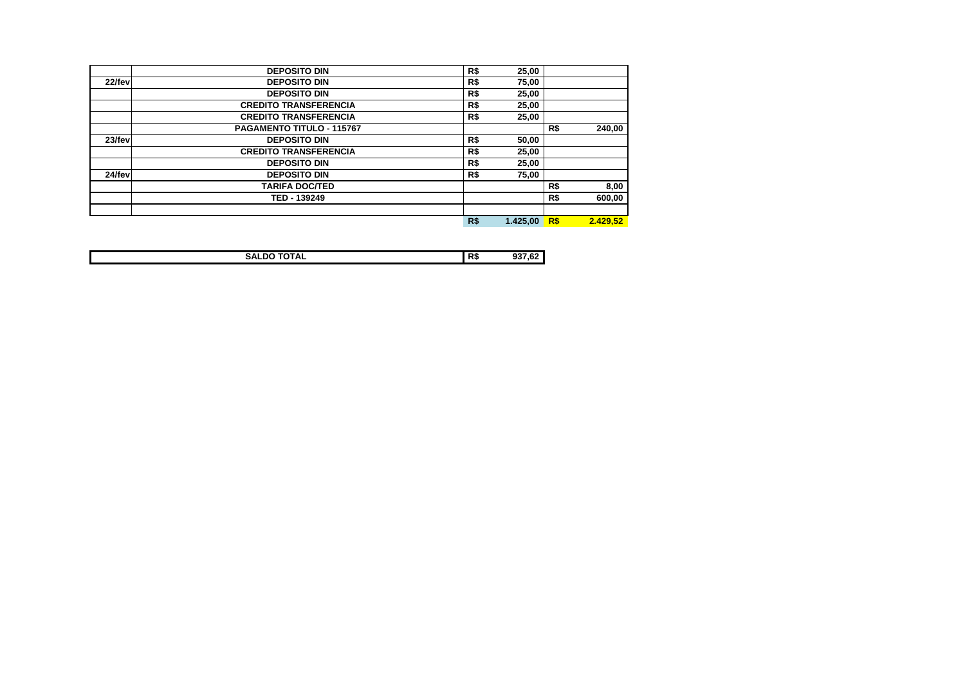|        | <b>DEPOSITO DIN</b>          | R\$ | 25,00    |     |          |
|--------|------------------------------|-----|----------|-----|----------|
| 22/fev | <b>DEPOSITO DIN</b>          | R\$ | 75,00    |     |          |
|        | <b>DEPOSITO DIN</b>          | R\$ | 25,00    |     |          |
|        | <b>CREDITO TRANSFERENCIA</b> | R\$ | 25,00    |     |          |
|        | <b>CREDITO TRANSFERENCIA</b> | R\$ | 25,00    |     |          |
|        | PAGAMENTO TITULO - 115767    |     |          | R\$ | 240,00   |
| 23/fev | <b>DEPOSITO DIN</b>          | R\$ | 50,00    |     |          |
|        | <b>CREDITO TRANSFERENCIA</b> | R\$ | 25,00    |     |          |
|        | <b>DEPOSITO DIN</b>          | R\$ | 25,00    |     |          |
| 24/fev | <b>DEPOSITO DIN</b>          | R\$ | 75,00    |     |          |
|        | <b>TARIFA DOC/TED</b>        |     |          | R\$ | 8,00     |
|        | TED - 139249                 |     |          | R\$ | 600.00   |
|        |                              |     |          |     |          |
|        |                              | R\$ | 1.425,00 | R\$ | 2.429,52 |

| -----<br>. S.P<br>. | D<br>n. |  |
|---------------------|---------|--|
|                     |         |  |